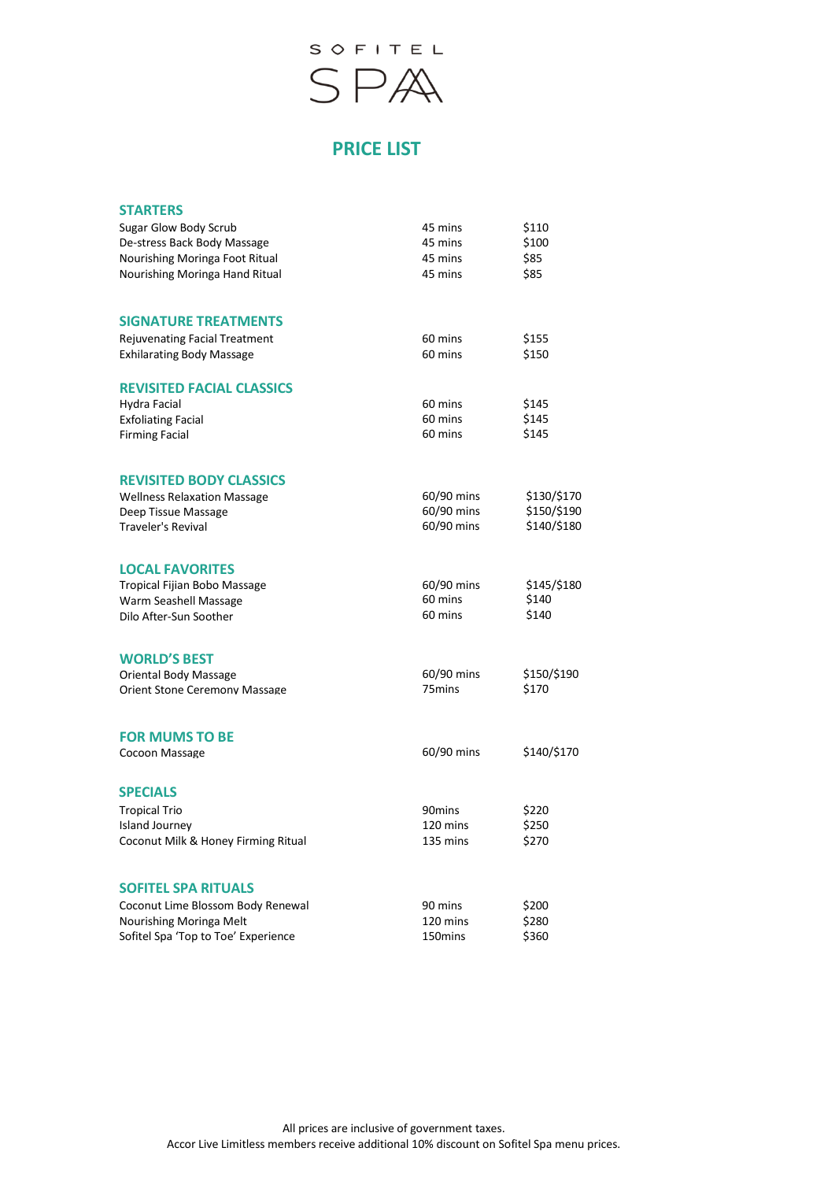

# **PRICE LIST**

| <b>STARTERS</b>                      |                    |             |
|--------------------------------------|--------------------|-------------|
| Sugar Glow Body Scrub                | 45 mins            | \$110       |
| De-stress Back Body Massage          | 45 mins            | \$100       |
| Nourishing Moringa Foot Ritual       | 45 mins            | \$85        |
| Nourishing Moringa Hand Ritual       | 45 mins            | \$85        |
| <b>SIGNATURE TREATMENTS</b>          |                    |             |
| <b>Rejuvenating Facial Treatment</b> | 60 mins            | \$155       |
| <b>Exhilarating Body Massage</b>     | 60 mins            | \$150       |
| <b>REVISITED FACIAL CLASSICS</b>     |                    |             |
| Hydra Facial                         | 60 mins            | \$145       |
| <b>Exfoliating Facial</b>            | 60 mins            | \$145       |
| <b>Firming Facial</b>                | 60 mins            | \$145       |
| <b>REVISITED BODY CLASSICS</b>       |                    |             |
| <b>Wellness Relaxation Massage</b>   | 60/90 mins         | \$130/\$170 |
| Deep Tissue Massage                  | 60/90 mins         | \$150/\$190 |
| <b>Traveler's Revival</b>            | 60/90 mins         | \$140/\$180 |
| <b>LOCAL FAVORITES</b>               |                    |             |
| Tropical Fijian Bobo Massage         | 60/90 mins         | \$145/\$180 |
| Warm Seashell Massage                | 60 mins            | \$140       |
| Dilo After-Sun Soother               | 60 mins            | \$140       |
| <b>WORLD'S BEST</b>                  |                    |             |
| Oriental Body Massage                | 60/90 mins         | \$150/\$190 |
| <b>Orient Stone Ceremony Massage</b> | 75 <sub>mins</sub> | \$170       |
| <b>FOR MUMS TO BE</b>                |                    |             |
| Cocoon Massage                       | 60/90 mins         | \$140/\$170 |
| <b>SPECIALS</b>                      |                    |             |
| <b>Tropical Trio</b>                 | 90mins             | \$220       |
| <b>Island Journey</b>                | 120 mins           | \$250       |
| Coconut Milk & Honey Firming Ritual  | 135 mins           | \$270       |
| <b>SOFITEL SPA RITUALS</b>           |                    |             |
| Coconut Lime Blossom Body Renewal    | 90 mins            | \$200       |
| Nourishing Moringa Melt              | 120 mins           | \$280       |
| Sofitel Spa 'Top to Toe' Experience  | 150mins            | \$360       |
|                                      |                    |             |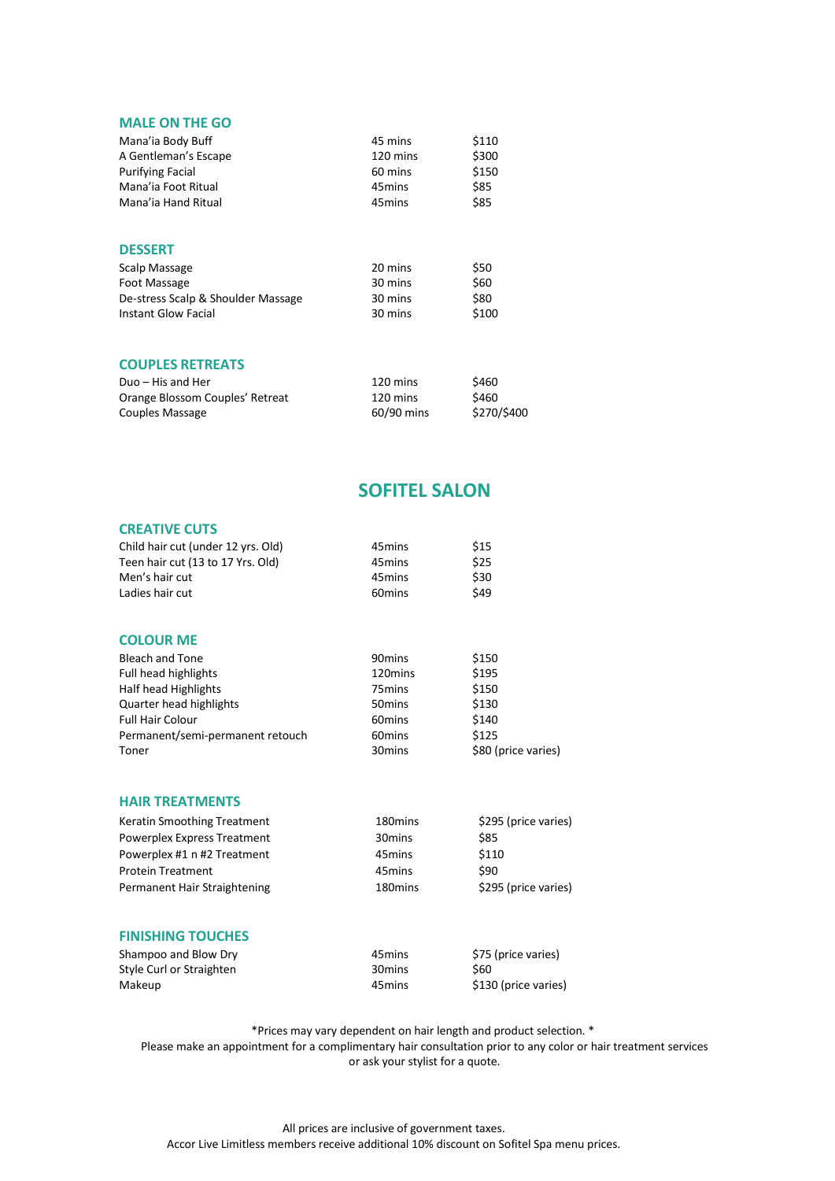| <b>MALE ON THE GO</b>              |                    |             |
|------------------------------------|--------------------|-------------|
| Mana'ia Body Buff                  | 45 mins            | \$110       |
| A Gentleman's Escape               | 120 mins           | \$300       |
| <b>Purifying Facial</b>            | 60 mins            | \$150       |
| Mana'ia Foot Ritual                | 45 mins            | \$85        |
| Mana'ia Hand Ritual                | 45 <sub>mins</sub> | \$85        |
| <b>DESSERT</b>                     |                    |             |
| Scalp Massage                      | 20 mins            | \$50        |
| Foot Massage                       | 30 mins            | \$60        |
| De-stress Scalp & Shoulder Massage | 30 mins            | \$80        |
| <b>Instant Glow Facial</b>         | 30 mins            | \$100       |
| <b>COUPLES RETREATS</b>            |                    |             |
| Duo - His and Her                  | 120 mins           | \$460       |
| Orange Blossom Couples' Retreat    | 120 mins           | \$460       |
| Couples Massage                    | 60/90 mins         | \$270/\$400 |

## **SOFITEL SALON**

### **CREATIVE CUTS**

| Child hair cut (under 12 yrs. Old) | 45 <sub>mins</sub> | \$15                |
|------------------------------------|--------------------|---------------------|
| Teen hair cut (13 to 17 Yrs. Old)  | 45 <sub>mins</sub> | \$25                |
| Men's hair cut                     | 45 <sub>mins</sub> | \$30                |
| Ladies hair cut                    | 60 <sub>mins</sub> | \$49                |
| <b>COLOUR ME</b>                   |                    |                     |
| <b>Bleach and Tone</b>             | 90 <sub>mins</sub> | \$150               |
| Full head highlights               | 120mins            | \$195               |
| Half head Highlights               | 75 <sub>mins</sub> | \$150               |
| Quarter head highlights            | 50 <sub>mins</sub> | \$130               |
| <b>Full Hair Colour</b>            | 60 <sub>mins</sub> | \$140               |
| Permanent/semi-permanent retouch   | 60 <sub>mins</sub> | \$125               |
| Toner                              | 30 <sub>mins</sub> | \$80 (price varies) |

#### **HAIR TREATMENTS**

| Keratin Smoothing Treatment  | 180 <sub>mins</sub> | \$295 (price varies) |
|------------------------------|---------------------|----------------------|
| Powerplex Express Treatment  | 30 <sub>mins</sub>  | \$85                 |
| Powerplex #1 n #2 Treatment  | 45 mins             | \$110                |
| <b>Protein Treatment</b>     | 45 mins             | \$90                 |
| Permanent Hair Straightening | 180 <sub>mins</sub> | \$295 (price varies) |
|                              |                     |                      |

#### **FINISHING TOUCHES**

| Shampoo and Blow Dry     | 45 mins | \$75 (price varies)  |
|--------------------------|---------|----------------------|
| Style Curl or Straighten | 30 mins | S60                  |
| Makeup                   | 45 mins | \$130 (price varies) |

\*Prices may vary dependent on hair length and product selection. \*

Please make an appointment for a complimentary hair consultation prior to any color or hair treatment services or ask your stylist for a quote.